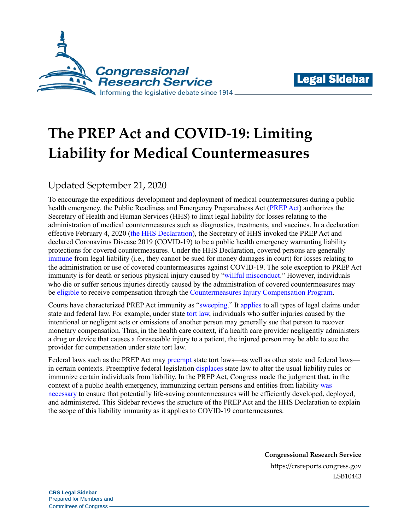



# **The PREP Act and COVID-19: Limiting Liability for Medical Countermeasures**

## Updated September 21, 2020

To encourage the expeditious development and deployment of medical countermeasures during a public health emergency, the Public Readiness and Emergency Preparedness Act [\(PREP Act\)](https://www.congress.gov/109/plaws/publ148/PLAW-109publ148.pdf#page=140) authorizes the Secretary of Health and Human Services (HHS) to limit legal liability for losses relating to the administration of medical countermeasures such as diagnostics, treatments, and vaccines. In a declaration effective February 4, 2020 (the HHS [Declaration\)](https://www.govinfo.gov/content/pkg/FR-2020-03-17/pdf/2020-05484.pdf), the Secretary of HHS invoked the PREP Act and declared Coronavirus Disease 2019 (COVID-19) to be a public health emergency warranting liability protections for covered countermeasures. Under the HHS Declaration, covered persons are generally [immune](https://www.phe.gov/Preparedness/legal/prepact/Pages/prepqa.aspx#q1) from legal liability (i.e., they cannot be sued for money damages in court) for losses relating to the administration or use of covered countermeasures against COVID-19. The sole exception to PREP Act immunity is for death or serious physical injury caused by ["willful misconduct.](https://www.phe.gov/Preparedness/legal/prepact/Pages/prepqa.aspx#q3)" However, individuals who die or suffer serious injuries directly caused by the administration of covered countermeasures may be [eligible](https://uscode.house.gov/view.xhtml?req=granuleid:USC-prelim-title42-section247d-6e&num=0&edition=prelim) to receive compensation through th[e Countermeasures Injury Compensation Program.](https://www.hrsa.gov/cicp/)

Courts have characterized PREP Act immunity as ["sweeping.](https://scholar.google.com/scholar_case?case=2155206758286332854#p144)" It [applies](https://uscode.house.gov/view.xhtml?req=granuleid:USC-prelim-title42-section247d-6d&num=0&edition=prelim) to all types of legal claims under state and federal law. For example, under state [tort law,](https://crsreports.congress.gov/product/pdf/IF/IF11291) individuals who suffer injuries caused by the intentional or negligent acts or omissions of another person may generally sue that person to recover monetary compensation. Thus, in the health care context, if a health care provider negligently administers a drug or device that causes a foreseeable injury to a patient, the injured person may be able to sue the provider for compensation under state tort law.

Federal laws such as the PREP Act may [preempt](https://crsreports.congress.gov/product/pdf/R/R45825) state tort laws—as well as other state and federal laws in certain contexts. Preemptive federal legislation [displaces](https://crsreports.congress.gov/product/pdf/LSB/LSB10461) state law to alter the usual liability rules or immunize certain individuals from liability. In the PREP Act, Congress made the judgment that, in the context of a public health emergency, immunizing certain persons and entities from liabilit[y was](https://www.congress.gov/109/crec/2005/12/18/CREC-2005-12-18-pt1-PgH12244-3.pdf#page=21) [necessary](https://www.congress.gov/109/crec/2005/12/18/CREC-2005-12-18-pt1-PgH12244-3.pdf#page=21) to ensure that potentially life-saving countermeasures will be efficiently developed, deployed, and administered. This Sidebar reviews the structure of the PREP Act and the HHS Declaration to explain the scope of this liability immunity as it applies to COVID-19 countermeasures.

> **Congressional Research Service** https://crsreports.congress.gov LSB10443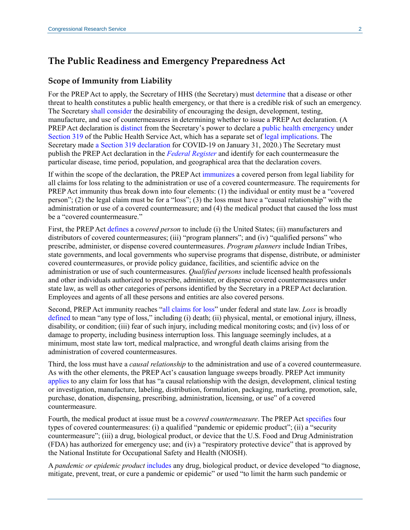## **The Public Readiness and Emergency Preparedness Act**

#### **Scope of Immunity from Liability**

For the PREP Act to apply, the Secretary of HHS (the Secretary) must [determine](https://uscode.house.gov/view.xhtml?req=granuleid:USC-prelim-title42-section247d-6d&num=0&edition=prelim) that a disease or other threat to health constitutes a public health emergency, or that there is a credible risk of such an emergency. The Secretary shall [consider](https://uscode.house.gov/view.xhtml?req=granuleid:USC-prelim-title42-section247d-6d&num=0&edition=prelim) the desirability of encouraging the design, development, testing, manufacture, and use of countermeasures in determining whether to issue a PREP Act declaration. (A PREP Act declaration is [distinct](https://www.phe.gov/Preparedness/legal/prepact/Pages/prepqa.aspx#q9) from the Secretary's power to declare [a public health emergency](https://www.phe.gov/Preparedness/legal/Pages/phe-qa.aspx) under [Section 319](https://uscode.house.gov/view.xhtml?req=granuleid:USC-prelim-title42-section247d&num=0&edition=prelim) of the Public Health Service Act, which has a separate set of [legal implications.](https://www.phe.gov/Preparedness/legal/Pages/phedeclaration.aspx) The Secretary made a Section [319 declaration](https://www.phe.gov/emergency/news/healthactions/phe/Pages/2019-nCoV.aspx) for COVID-19 on January 31, 2020.) The Secretary must publish the PREP Act declaration in the *[Federal Register](https://www.govinfo.gov/content/pkg/FR-2020-03-17/pdf/2020-05484.pdf)* and identify for each countermeasure the particular disease, time period, population, and geographical area that the declaration covers.

If within the scope of the declaration, the PREP Act [immunizes](https://uscode.house.gov/view.xhtml?req=granuleid:USC-prelim-title42-section247d-6d&num=0&edition=prelim) a covered person from legal liability for all claims for loss relating to the administration or use of a covered countermeasure. The requirements for PREP Act immunity thus break down into four elements: (1) the individual or entity must be a "covered person"; (2) the legal claim must be for a "loss"; (3) the loss must have a "causal relationship" with the administration or use of a covered countermeasure; and (4) the medical product that caused the loss must be a "covered countermeasure."

First, the PREP Act [defines](https://uscode.house.gov/view.xhtml?req=granuleid:USC-prelim-title42-section247d-6d&num=0&edition=prelim) a *covered person* to include (i) the United States; (ii) manufacturers and distributors of covered countermeasures; (iii) "program planners"; and (iv) "qualified persons" who prescribe, administer, or dispense covered countermeasures. *Program planners* include Indian Tribes, state governments, and local governments who supervise programs that dispense, distribute, or administer covered countermeasures, or provide policy guidance, facilities, and scientific advice on the administration or use of such countermeasures. *Qualified persons* include licensed health professionals and other individuals authorized to prescribe, administer, or dispense covered countermeasures under state law, as well as other categories of persons identified by the Secretary in a PREP Act declaration. Employees and agents of all these persons and entities are also covered persons.

Second, PREP Act immunity reaches ["all claims for loss"](https://uscode.house.gov/view.xhtml?req=granuleid:USC-prelim-title42-section247d-6d&num=0&edition=prelim) under federal and state law. *Loss* is broadly [defined](https://uscode.house.gov/view.xhtml?req=granuleid:USC-prelim-title42-section247d-6d&num=0&edition=prelim) to mean "any type of loss," including (i) death; (ii) physical, mental, or emotional injury, illness, disability, or condition; (iii) fear of such injury, including medical monitoring costs; and (iv) loss of or damage to property, including business interruption loss. This language seemingly includes, at a minimum, most state law tort, medical malpractice, and wrongful death claims arising from the administration of covered countermeasures.

Third, the loss must have a *causal relationship* to the administration and use of a covered countermeasure. As with the other elements, the PREP Act's causation language sweeps broadly. PREP Act immunity [applies](https://uscode.house.gov/view.xhtml?req=granuleid:USC-prelim-title42-section247d-6d&num=0&edition=prelim) to any claim for loss that has "a causal relationship with the design, development, clinical testing or investigation, manufacture, labeling, distribution, formulation, packaging, marketing, promotion, sale, purchase, donation, dispensing, prescribing, administration, licensing, or use" of a covered countermeasure.

Fourth, the medical product at issue must be a *covered countermeasure*. The PREP Ac[t specifies](https://uscode.house.gov/view.xhtml?req=granuleid:USC-prelim-title42-section247d-6d&num=0&edition=prelim) four types of covered countermeasures: (i) a qualified "pandemic or epidemic product"; (ii) a "security countermeasure"; (iii) a drug, biological product, or device that the U.S. Food and Drug Administration (FDA) has authorized for emergency use; and (iv) a "respiratory protective device" that is approved by the National Institute for Occupational Safety and Health (NIOSH).

A *pandemic or epidemic product* [includes](https://uscode.house.gov/view.xhtml?req=granuleid:USC-prelim-title42-section247d-6d&num=0&edition=prelim) any drug, biological product, or device developed "to diagnose, mitigate, prevent, treat, or cure a pandemic or epidemic" or used "to limit the harm such pandemic or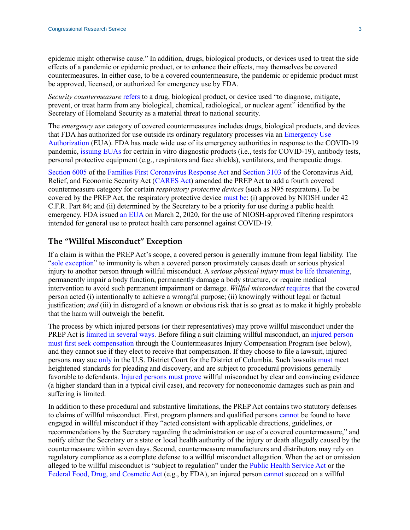epidemic might otherwise cause." In addition, drugs, biological products, or devices used to treat the side effects of a pandemic or epidemic product, or to enhance their effects, may themselves be covered countermeasures. In either case, to be a covered countermeasure, the pandemic or epidemic product must be approved, licensed, or authorized for emergency use by FDA.

*Security countermeasure* [refers](https://uscode.house.gov/view.xhtml?req=granuleid:USC-prelim-title42-section247d-6b&num=0&edition=prelim) to a drug, biological product, or device used "to diagnose, mitigate, prevent, or treat harm from any biological, chemical, radiological, or nuclear agent" identified by the Secretary of Homeland Security as a material threat to national security.

The *emergency use* category of covered countermeasures includes drugs, biological products, and devices that FDA has authorized for use outside its ordinary regulatory processes via an [Emergency Use](https://crsreports.congress.gov/product/pdf/IF/IF10745)  [Authorization](https://crsreports.congress.gov/product/pdf/IF/IF10745) (EUA). FDA has made wide use of its emergency authorities in response to the COVID-19 pandemic, [issuing EUAs](https://www.fda.gov/emergency-preparedness-and-response/mcm-legal-regulatory-and-policy-framework/emergency-use-authorization#2019-ncov) for certain in vitro diagnostic products (i.e., tests for COVID-19), antibody tests, personal protective equipment (e.g., respirators and face shields), ventilators, and therapeutic drugs.

[Section 6005](https://www.congress.gov/116/bills/hr6201/BILLS-116hr6201enr.pdf#page=30) of the [Families First Coronavirus Response Act](https://www.congress.gov/bill/116th-congress/house-bill/6201) and [Section 3103](https://www.congress.gov/116/bills/hr748/BILLS-116hr748enr.pdf#page=81) of the Coronavirus Aid, Relief, and Economic Security Act [\(CARES Act\)](https://www.congress.gov/bill/116th-congress/house-bill/748) amended the PREP Act to add a fourth covered countermeasure category for certain *respiratory protective devices* (such as N95 respirators). To be covered by the PREP Act, the respiratory protective device [must be:](https://www.congress.gov/116/bills/hr748/BILLS-116hr748enr.pdf#page=81) (i) approved by NIOSH under 42 C.F.R. Part 84; and (ii) determined by the Secretary to be a priority for use during a public health emergency. FDA issued [an EUA](https://www.fda.gov/media/135763/download) on March 2, 2020, for the use of NIOSH-approved filtering respirators intended for general use to protect health care personnel against COVID-19.

#### **The "Willful Misconduct" Exception**

If a claim is within the PREP Act's scope, a covered person is generally immune from legal liability. The ["sole exception"](https://uscode.house.gov/view.xhtml?req=granuleid:USC-prelim-title42-section247d-6d&num=0&edition=prelim) to immunity is when a covered person proximately causes death or serious physical injury to another person through willful misconduct. A *serious physical injury* [must be life threatening,](https://uscode.house.gov/view.xhtml?req=granuleid:USC-prelim-title42-section247d-6d&num=0&edition=prelim) permanently impair a body function, permanently damage a body structure, or require medical intervention to avoid such permanent impairment or damage. *Willful misconduct* [requires](https://uscode.house.gov/view.xhtml?req=granuleid:USC-prelim-title42-section247d-6d&num=0&edition=prelim) that the covered person acted (i) intentionally to achieve a wrongful purpose; (ii) knowingly without legal or factual justification; *and* (iii) in disregard of a known or obvious risk that is so great as to make it highly probable that the harm will outweigh the benefit.

The process by which injured persons (or their representatives) may prove willful misconduct under the PREP Act i[s limited in several](https://uscode.house.gov/view.xhtml?req=granuleid:USC-prelim-title42-section247d-6d&num=0&edition=prelim) ways. Before filing a suit claiming willful misconduct, an [injured person](https://uscode.house.gov/view.xhtml?req=granuleid:USC-prelim-title42-section247d-6e&num=0&edition=prelim) [must first seek](https://uscode.house.gov/view.xhtml?req=granuleid:USC-prelim-title42-section247d-6e&num=0&edition=prelim) compensation through the Countermeasures Injury Compensation Program (see below), and they cannot sue if they elect to receive that compensation. If they choose to file a lawsuit, injured persons may sue [only](https://uscode.house.gov/view.xhtml?req=granuleid:USC-prelim-title42-section247d-6d&num=0&edition=prelim) in the U.S. District Court for the District of Columbia. Such lawsuits [must](https://uscode.house.gov/view.xhtml?req=granuleid:USC-prelim-title42-section247d-6d&num=0&edition=prelim) meet heightened standards for pleading and discovery, and are subject to procedural provisions generally favorable to defendants. Injured persons [must prove](https://uscode.house.gov/view.xhtml?req=granuleid:USC-prelim-title42-section247d-6d&num=0&edition=prelim) willful misconduct by clear and convincing evidence (a higher standard than in a typical civil case), and recovery for noneconomic damages such as pain and suffering is limited.

In addition to these procedural and substantive limitations, the PREP Act contains two statutory defenses to claims of willful misconduct. First, program planners and qualified persons [cannot](https://uscode.house.gov/view.xhtml?req=granuleid:USC-prelim-title42-section247d-6d&num=0&edition=prelim) be found to have engaged in willful misconduct if they "acted consistent with applicable directions, guidelines, or recommendations by the Secretary regarding the administration or use of a covered countermeasure," and notify either the Secretary or a state or local health authority of the injury or death allegedly caused by the countermeasure within seven days. Second, countermeasure manufacturers and distributors may rely on regulatory compliance as a complete defense to a willful misconduct allegation. When the act or omission alleged to be willful misconduct is "subject to regulation" under the [Public Health Service Act](https://uscode.house.gov/view.xhtml?path=/prelim@title42/chapter6A&edition=prelim) or the [Federal Food, Drug, and Cosmetic](https://uscode.house.gov/view.xhtml?path=/prelim@title21/chapter9&edition=prelim) Act (e.g., by FDA), an injured person [cannot](https://uscode.house.gov/view.xhtml?req=granuleid:USC-prelim-title42-section247d-6d&num=0&edition=prelim) succeed on a willful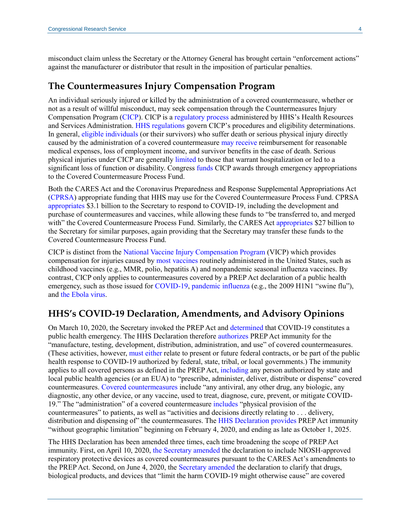misconduct claim unless the Secretary or the Attorney General has brought certain "enforcement actions" against the manufacturer or distributor that result in the imposition of particular penalties.

#### **The Countermeasures Injury Compensation Program**

An individual seriously injured or killed by the administration of a covered countermeasure, whether or not as a result of willful misconduct, may seek compensation through the Countermeasures Injury Compensation Program [\(CICP\)](https://www.hrsa.gov/cicp/). CICP is [a regulatory process](https://www.hrsa.gov/cicp/faq/index.html) administered by HHS's Health Resources and Services Administration. [HHS regulations g](https://www.govinfo.gov/content/pkg/CFR-2019-title42-vol1/pdf/CFR-2019-title42-vol1-part110.pdf)overn CICP's procedures and eligibility determinations. In general, [eligible individuals](https://uscode.house.gov/view.xhtml?req=granuleid:USC-prelim-title42-section247d-6e&num=0&edition=prelim) (or their survivors) who suffer death or serious physical injury directly caused by the administration of a covered countermeasure [may receive](https://www.hrsa.gov/cicp/faq/requesters.html) reimbursement for reasonable medical expenses, loss of employment income, and survivor benefits in the case of death. Serious physical injuries under CICP are generall[y limited](https://www.govinfo.gov/content/pkg/CFR-2019-title42-vol1/pdf/CFR-2019-title42-vol1-sec110-3.pdf#page=3) to those that warrant hospitalization or led to a significant loss of function or disability. Congress [funds](https://uscode.house.gov/view.xhtml?req=granuleid:USC-prelim-title42-section247d-6e&num=0&edition=prelim) CICP awards through emergency appropriations to the Covered Countermeasure Process Fund.

Both the CARES Act and the Coronavirus Preparedness and Response Supplemental Appropriations Act [\(CPRSA\)](https://www.congress.gov/bill/116th-congress/house-bill/6074) appropriate funding that HHS may use for the Covered Countermeasure Process Fund. CPRSA [appropriates](https://www.congress.gov/116/bills/hr6074/BILLS-116hr6074enr.pdf#page=4) \$3.1 billion to the Secretary to respond to COVID-19, including the development and purchase of countermeasures and vaccines, while allowing these funds to "be transferred to, and merged with" the Covered Countermeasure Process Fund. Similarly, the CARES Act [appropriates](https://www.congress.gov/116/bills/hr748/BILLS-116hr748enr.pdf#page=281) \$27 billion to the Secretary for similar purposes, again providing that the Secretary may transfer these funds to the Covered Countermeasure Process Fund.

CICP is distinct from the [National Vaccine Injury Compensation Program](https://www.hrsa.gov/vaccine-compensation/index.html) (VICP) which provides compensation for injuries caused by [most vaccines](https://www.hrsa.gov/vaccine-compensation/covered-vaccines/index.html) routinely administered in the United States, such as childhood vaccines (e.g., MMR, polio, hepatitis A) and nonpandemic seasonal influenza vaccines. By contrast, CICP only applies to countermeasures covered by a PREP Act declaration of a public health emergency, such as those issued for [COVID-19,](https://www.phe.gov/Preparedness/legal/prepact/Pages/COVID19.aspx) [pandemic](https://www.govinfo.gov/content/pkg/FR-2015-12-09/pdf/2015-31087.pdf) influenza (e.g., the 2009 H1N1 "swine flu"), and [the Ebola virus.](https://www.govinfo.gov/content/pkg/FR-2019-01-31/pdf/2019-00260.pdf)

## **HHS's COVID-19 Declaration, Amendments, and Advisory Opinions**

On March 10, 2020, the Secretary invoked the PREP Act and [determined](https://www.govinfo.gov/content/pkg/FR-2020-03-17/pdf/2020-05484.pdf) that COVID-19 constitutes a public health emergency. The HHS Declaration therefore [authorizes](https://www.govinfo.gov/content/pkg/FR-2020-03-17/pdf/2020-05484.pdf#page=4) PREP Act immunity for the "manufacture, testing, development, distribution, administration, and use" of covered countermeasures. (These activities, however, [must either](https://www.govinfo.gov/content/pkg/FR-2020-03-17/pdf/2020-05484.pdf#page=5) relate to present or future federal contracts, or be part of the public health response to COVID-19 authorized by federal, state, tribal, or local governments.) The immunity applies to all covered persons as defined in the PREP Act, [including](https://www.govinfo.gov/content/pkg/FR-2020-03-17/pdf/2020-05484.pdf#page=4) any person authorized by state and local public health agencies (or an EUA) to "prescribe, administer, deliver, distribute or dispense" covered countermeasures. [Covered countermeasures](https://www.govinfo.gov/content/pkg/FR-2020-03-17/pdf/2020-05484.pdf#page=5) include "any antiviral, any other drug, any biologic, any diagnostic, any other device, or any vaccine, used to treat, diagnose, cure, prevent, or mitigate COVID-19." The "administration" of a covered countermeasure [includes](https://www.govinfo.gov/content/pkg/FR-2020-03-17/pdf/2020-05484.pdf#page=5) "physical provision of the countermeasures" to patients, as well as "activities and decisions directly relating to . . . delivery, distribution and dispensing of" the countermeasures. The [HHS Declaration](https://www.govinfo.gov/content/pkg/FR-2020-03-17/pdf/2020-05484.pdf#page=5) provides PREP Act immunity "without geographic limitation" beginning on February 4, 2020, and ending as late as October 1, 2025.

The HHS Declaration has been amended three times, each time broadening the scope of PREP Act immunity. First, on April 10, 2020, [the Secretary amended](https://www.govinfo.gov/content/pkg/FR-2020-04-15/pdf/2020-08040.pdf) the declaration to include NIOSH-approved respiratory protective devices as covered countermeasures pursuant to the CARES Act's amendments to the PREP Act. Second, on June 4, 2020, the [Secretary amended](https://www.govinfo.gov/content/pkg/FR-2020-06-08/pdf/2020-12465.pdf) the declaration to clarify that drugs, biological products, and devices that "limit the harm COVID-19 might otherwise cause" are covered